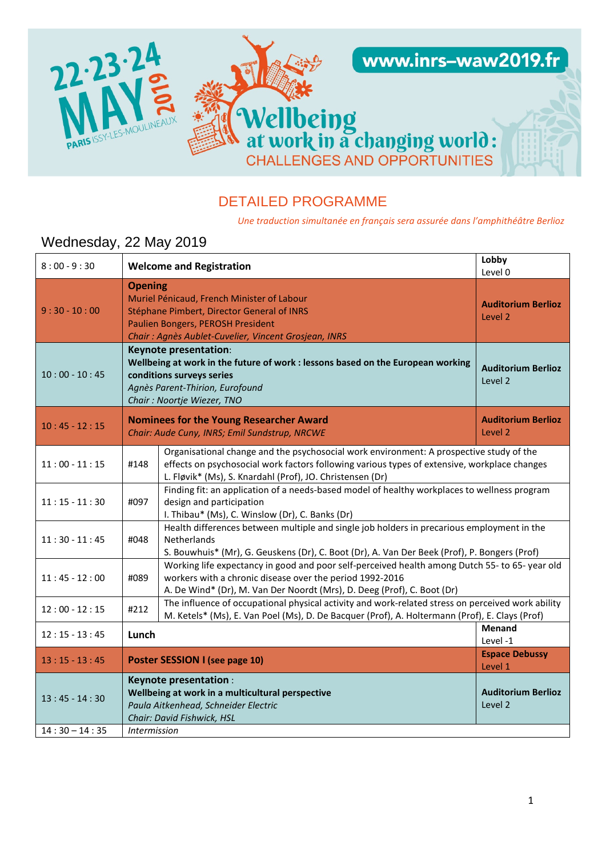

## DETAILED PROGRAMME

*Une traduction simultanée en français sera assurée dans l'amphithéâtre Berlioz*

# Wednesday, 22 May 2019

| $8:00 - 9:30$                      | Lobby<br><b>Welcome and Registration</b><br>Level 0 |                                                                                                                                                                                                                                                      |                                      |
|------------------------------------|-----------------------------------------------------|------------------------------------------------------------------------------------------------------------------------------------------------------------------------------------------------------------------------------------------------------|--------------------------------------|
| $9:30 - 10:00$                     |                                                     | <b>Opening</b><br>Muriel Pénicaud, French Minister of Labour<br><b>Auditorium Berlioz</b><br>Stéphane Pimbert, Director General of INRS<br>Level 2<br>Paulien Bongers, PEROSH President<br>Chair: Agnès Aublet-Cuvelier, Vincent Grosjean, INRS      |                                      |
| $10:00 - 10:45$                    |                                                     | Keynote presentation:<br>Wellbeing at work in the future of work : lessons based on the European working<br><b>Auditorium Berlioz</b><br>conditions surveys series<br>Level 2<br>Agnès Parent-Thirion, Eurofound<br>Chair: Noortje Wiezer, TNO       |                                      |
| $10:45 - 12:15$                    |                                                     | <b>Nominees for the Young Researcher Award</b><br>Chair: Aude Cuny, INRS; Emil Sundstrup, NRCWE                                                                                                                                                      | <b>Auditorium Berlioz</b><br>Level 2 |
| $11:00 - 11:15$                    | #148                                                | Organisational change and the psychosocial work environment: A prospective study of the<br>effects on psychosocial work factors following various types of extensive, workplace changes<br>L. Fløvik* (Ms), S. Knardahl (Prof), JO. Christensen (Dr) |                                      |
| $11:15 - 11:30$                    | #097                                                | Finding fit: an application of a needs-based model of healthy workplaces to wellness program<br>design and participation<br>I. Thibau* (Ms), C. Winslow (Dr), C. Banks (Dr)                                                                          |                                      |
| $11:30 - 11:45$                    | #048                                                | Health differences between multiple and single job holders in precarious employment in the<br>Netherlands<br>S. Bouwhuis* (Mr), G. Geuskens (Dr), C. Boot (Dr), A. Van Der Beek (Prof), P. Bongers (Prof)                                            |                                      |
| $11:45 - 12:00$                    | #089                                                | Working life expectancy in good and poor self-perceived health among Dutch 55- to 65- year old<br>workers with a chronic disease over the period 1992-2016<br>A. De Wind* (Dr), M. Van Der Noordt (Mrs), D. Deeg (Prof), C. Boot (Dr)                |                                      |
| $12:00 - 12:15$                    | #212                                                | The influence of occupational physical activity and work-related stress on perceived work ability<br>M. Ketels* (Ms), E. Van Poel (Ms), D. De Bacquer (Prof), A. Holtermann (Prof), E. Clays (Prof)                                                  |                                      |
| $12:15 - 13:45$                    | Lunch                                               |                                                                                                                                                                                                                                                      | <b>Menand</b><br>Level-1             |
| $13:15 - 13:45$                    |                                                     | Poster SESSION I (see page 10)                                                                                                                                                                                                                       | <b>Espace Debussy</b><br>Level 1     |
| $13:45 - 14:30$<br>$14:30 - 14:35$ |                                                     | <b>Keynote presentation:</b><br>Wellbeing at work in a multicultural perspective<br>Paula Aitkenhead, Schneider Electric<br>Chair: David Fishwick, HSL                                                                                               | <b>Auditorium Berlioz</b><br>Level 2 |
|                                    | <i><b>Intermission</b></i>                          |                                                                                                                                                                                                                                                      |                                      |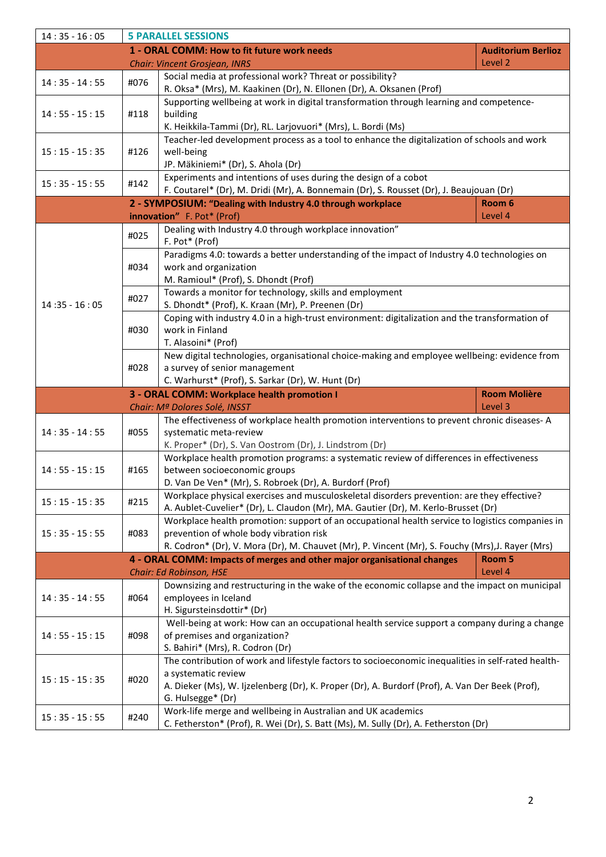| $14:35 - 16:05$ |      | <b>5 PARALLEL SESSIONS</b>                                                                                                                          |                           |
|-----------------|------|-----------------------------------------------------------------------------------------------------------------------------------------------------|---------------------------|
|                 |      | 1 - ORAL COMM: How to fit future work needs                                                                                                         | <b>Auditorium Berlioz</b> |
|                 |      | <b>Chair: Vincent Grosjean, INRS</b>                                                                                                                | Level 2                   |
| $14:35 - 14:55$ | #076 | Social media at professional work? Threat or possibility?<br>R. Oksa* (Mrs), M. Kaakinen (Dr), N. Ellonen (Dr), A. Oksanen (Prof)                   |                           |
|                 |      | Supporting wellbeing at work in digital transformation through learning and competence-                                                             |                           |
| $14:55 - 15:15$ | #118 | building                                                                                                                                            |                           |
|                 |      | K. Heikkila-Tammi (Dr), RL. Larjovuori* (Mrs), L. Bordi (Ms)                                                                                        |                           |
|                 |      | Teacher-led development process as a tool to enhance the digitalization of schools and work                                                         |                           |
| $15:15 - 15:35$ | #126 | well-being                                                                                                                                          |                           |
|                 |      | JP. Mäkiniemi* (Dr), S. Ahola (Dr)<br>Experiments and intentions of uses during the design of a cobot                                               |                           |
| $15:35 - 15:55$ | #142 | F. Coutarel* (Dr), M. Dridi (Mr), A. Bonnemain (Dr), S. Rousset (Dr), J. Beaujouan (Dr)                                                             |                           |
|                 |      | 2 - SYMPOSIUM: "Dealing with Industry 4.0 through workplace                                                                                         | Room 6                    |
|                 |      | innovation" F. Pot* (Prof)                                                                                                                          | Level 4                   |
|                 | #025 | Dealing with Industry 4.0 through workplace innovation"                                                                                             |                           |
|                 |      | F. Pot* (Prof)                                                                                                                                      |                           |
|                 | #034 | Paradigms 4.0: towards a better understanding of the impact of Industry 4.0 technologies on<br>work and organization                                |                           |
|                 |      | M. Ramioul* (Prof), S. Dhondt (Prof)                                                                                                                |                           |
|                 |      | Towards a monitor for technology, skills and employment                                                                                             |                           |
| $14:35 - 16:05$ | #027 | S. Dhondt* (Prof), K. Kraan (Mr), P. Preenen (Dr)                                                                                                   |                           |
|                 |      | Coping with industry 4.0 in a high-trust environment: digitalization and the transformation of                                                      |                           |
|                 | #030 | work in Finland                                                                                                                                     |                           |
|                 |      | T. Alasoini* (Prof)                                                                                                                                 |                           |
|                 | #028 | New digital technologies, organisational choice-making and employee wellbeing: evidence from<br>a survey of senior management                       |                           |
|                 |      | C. Warhurst* (Prof), S. Sarkar (Dr), W. Hunt (Dr)                                                                                                   |                           |
|                 |      | 3 - ORAL COMM: Workplace health promotion I                                                                                                         | <b>Room Molière</b>       |
|                 |      | Chair: Mª Dolores Solé, INSST                                                                                                                       | Level 3                   |
|                 |      | The effectiveness of workplace health promotion interventions to prevent chronic diseases-A                                                         |                           |
| $14:35 - 14:55$ | #055 | systematic meta-review                                                                                                                              |                           |
|                 |      | K. Proper* (Dr), S. Van Oostrom (Dr), J. Lindstrom (Dr)<br>Workplace health promotion programs: a systematic review of differences in effectiveness |                           |
| $14:55 - 15:15$ | #165 | between socioeconomic groups                                                                                                                        |                           |
|                 |      | D. Van De Ven* (Mr), S. Robroek (Dr), A. Burdorf (Prof)                                                                                             |                           |
| $15:15 - 15:35$ | #215 | Workplace physical exercises and musculoskeletal disorders prevention: are they effective?                                                          |                           |
|                 |      | A. Aublet-Cuvelier* (Dr), L. Claudon (Mr), MA. Gautier (Dr), M. Kerlo-Brusset (Dr)                                                                  |                           |
|                 |      |                                                                                                                                                     |                           |
|                 |      | Workplace health promotion: support of an occupational health service to logistics companies in                                                     |                           |
| $15:35 - 15:55$ | #083 | prevention of whole body vibration risk                                                                                                             |                           |
|                 |      | R. Codron* (Dr), V. Mora (Dr), M. Chauvet (Mr), P. Vincent (Mr), S. Fouchy (Mrs), J. Rayer (Mrs)                                                    |                           |
|                 |      | 4 - ORAL COMM: Impacts of merges and other major organisational changes<br><b>Chair: Ed Robinson, HSE</b>                                           | Room 5<br>Level 4         |
|                 |      | Downsizing and restructuring in the wake of the economic collapse and the impact on municipal                                                       |                           |
| $14:35 - 14:55$ | #064 | employees in Iceland                                                                                                                                |                           |
|                 |      | H. Sigursteinsdottir* (Dr)                                                                                                                          |                           |
|                 |      | Well-being at work: How can an occupational health service support a company during a change                                                        |                           |
| $14:55 - 15:15$ | #098 | of premises and organization?                                                                                                                       |                           |
|                 |      | S. Bahiri* (Mrs), R. Codron (Dr)                                                                                                                    |                           |
|                 |      | The contribution of work and lifestyle factors to socioeconomic inequalities in self-rated health-<br>a systematic review                           |                           |
| $15:15 - 15:35$ | #020 | A. Dieker (Ms), W. Ijzelenberg (Dr), K. Proper (Dr), A. Burdorf (Prof), A. Van Der Beek (Prof),                                                     |                           |
|                 |      | G. Hulsegge* (Dr)                                                                                                                                   |                           |
| $15:35 - 15:55$ | #240 | Work-life merge and wellbeing in Australian and UK academics<br>C. Fetherston* (Prof), R. Wei (Dr), S. Batt (Ms), M. Sully (Dr), A. Fetherston (Dr) |                           |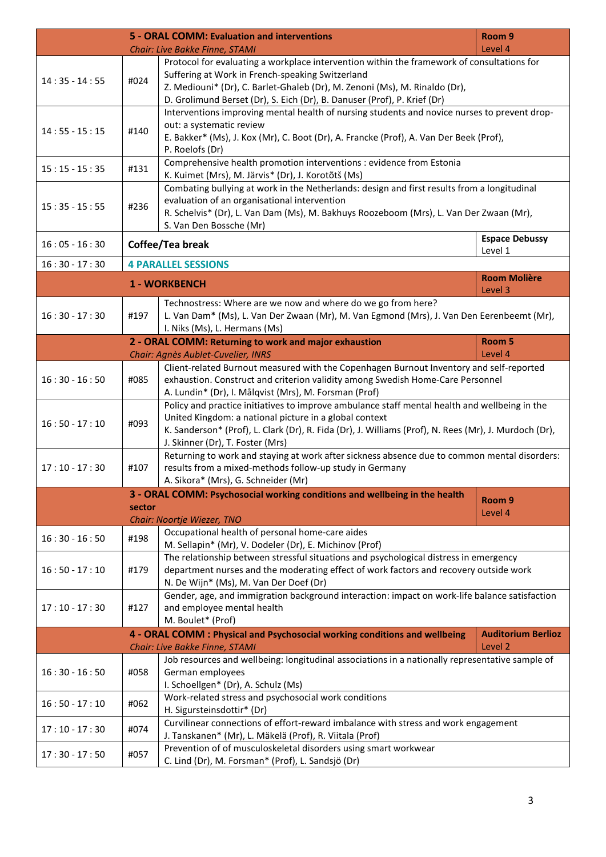|                 |        | 5 - ORAL COMM: Evaluation and interventions                                                                                                     | Room <sub>9</sub>         |
|-----------------|--------|-------------------------------------------------------------------------------------------------------------------------------------------------|---------------------------|
|                 |        | Chair: Live Bakke Finne, STAMI                                                                                                                  | Level 4                   |
|                 |        | Protocol for evaluating a workplace intervention within the framework of consultations for                                                      |                           |
| $14:35 - 14:55$ | #024   | Suffering at Work in French-speaking Switzerland                                                                                                |                           |
|                 |        | Z. Mediouni* (Dr), C. Barlet-Ghaleb (Dr), M. Zenoni (Ms), M. Rinaldo (Dr),                                                                      |                           |
|                 |        | D. Grolimund Berset (Dr), S. Eich (Dr), B. Danuser (Prof), P. Krief (Dr)                                                                        |                           |
|                 |        | Interventions improving mental health of nursing students and novice nurses to prevent drop-                                                    |                           |
| $14:55 - 15:15$ | #140   | out: a systematic review                                                                                                                        |                           |
|                 |        | E. Bakker* (Ms), J. Kox (Mr), C. Boot (Dr), A. Francke (Prof), A. Van Der Beek (Prof),<br>P. Roelofs (Dr)                                       |                           |
|                 |        | Comprehensive health promotion interventions : evidence from Estonia                                                                            |                           |
| $15:15 - 15:35$ | #131   | K. Kuimet (Mrs), M. Järvis* (Dr), J. Korotõtš (Ms)                                                                                              |                           |
|                 |        | Combating bullying at work in the Netherlands: design and first results from a longitudinal                                                     |                           |
|                 |        | evaluation of an organisational intervention                                                                                                    |                           |
| $15:35 - 15:55$ | #236   | R. Schelvis* (Dr), L. Van Dam (Ms), M. Bakhuys Roozeboom (Mrs), L. Van Der Zwaan (Mr),                                                          |                           |
|                 |        | S. Van Den Bossche (Mr)                                                                                                                         |                           |
| $16:05 - 16:30$ |        | Coffee/Tea break                                                                                                                                | <b>Espace Debussy</b>     |
|                 |        |                                                                                                                                                 | Level 1                   |
| $16:30 - 17:30$ |        | <b>4 PARALLEL SESSIONS</b>                                                                                                                      |                           |
|                 |        | <b>1 - WORKBENCH</b>                                                                                                                            | <b>Room Molière</b>       |
|                 |        |                                                                                                                                                 | Level 3                   |
|                 |        | Technostress: Where are we now and where do we go from here?                                                                                    |                           |
| $16:30 - 17:30$ | #197   | L. Van Dam* (Ms), L. Van Der Zwaan (Mr), M. Van Egmond (Mrs), J. Van Den Eerenbeemt (Mr),                                                       |                           |
|                 |        | I. Niks (Ms), L. Hermans (Ms)                                                                                                                   |                           |
|                 |        | 2 - ORAL COMM: Returning to work and major exhaustion<br>Chair: Agnès Aublet-Cuvelier, INRS                                                     | Room 5<br>Level 4         |
|                 |        | Client-related Burnout measured with the Copenhagen Burnout Inventory and self-reported                                                         |                           |
| $16:30 - 16:50$ | #085   | exhaustion. Construct and criterion validity among Swedish Home-Care Personnel                                                                  |                           |
|                 |        | A. Lundin* (Dr), I. Målqvist (Mrs), M. Forsman (Prof)                                                                                           |                           |
|                 |        | Policy and practice initiatives to improve ambulance staff mental health and wellbeing in the                                                   |                           |
|                 |        | United Kingdom: a national picture in a global context                                                                                          |                           |
| $16:50 - 17:10$ | #093   | K. Sanderson* (Prof), L. Clark (Dr), R. Fida (Dr), J. Williams (Prof), N. Rees (Mr), J. Murdoch (Dr),                                           |                           |
|                 |        | J. Skinner (Dr), T. Foster (Mrs)                                                                                                                |                           |
|                 | #107   | Returning to work and staying at work after sickness absence due to common mental disorders:                                                    |                           |
| $17:10 - 17:30$ |        | results from a mixed-methods follow-up study in Germany                                                                                         |                           |
|                 |        | A. Sikora* (Mrs), G. Schneider (Mr)                                                                                                             |                           |
|                 |        | 3 - ORAL COMM: Psychosocial working conditions and wellbeing in the health                                                                      | Room <sub>9</sub>         |
|                 | sector |                                                                                                                                                 | Level 4                   |
|                 |        | Chair: Noortje Wiezer, TNO                                                                                                                      |                           |
| $16:30 - 16:50$ | #198   | Occupational health of personal home-care aides                                                                                                 |                           |
|                 |        | M. Sellapin* (Mr), V. Dodeler (Dr), E. Michinov (Prof)<br>The relationship between stressful situations and psychological distress in emergency |                           |
| $16:50 - 17:10$ | #179   | department nurses and the moderating effect of work factors and recovery outside work                                                           |                           |
|                 |        | N. De Wijn* (Ms), M. Van Der Doef (Dr)                                                                                                          |                           |
|                 |        | Gender, age, and immigration background interaction: impact on work-life balance satisfaction                                                   |                           |
| $17:10 - 17:30$ | #127   | and employee mental health                                                                                                                      |                           |
|                 |        | M. Boulet* (Prof)                                                                                                                               |                           |
|                 |        | 4 - ORAL COMM : Physical and Psychosocial working conditions and wellbeing                                                                      | <b>Auditorium Berlioz</b> |
|                 |        | Chair: Live Bakke Finne, STAMI                                                                                                                  | Level <sub>2</sub>        |
|                 |        | Job resources and wellbeing: longitudinal associations in a nationally representative sample of                                                 |                           |
| $16:30 - 16:50$ | #058   | German employees                                                                                                                                |                           |
|                 |        | I. Schoellgen* (Dr), A. Schulz (Ms)                                                                                                             |                           |
| $16:50 - 17:10$ | #062   | Work-related stress and psychosocial work conditions                                                                                            |                           |
|                 |        | H. Sigursteinsdottir* (Dr)                                                                                                                      |                           |
| $17:10 - 17:30$ | #074   | Curvilinear connections of effort-reward imbalance with stress and work engagement                                                              |                           |
|                 |        | J. Tanskanen* (Mr), L. Mäkelä (Prof), R. Viitala (Prof)                                                                                         |                           |
| $17:30 - 17:50$ | #057   | Prevention of of musculoskeletal disorders using smart workwear<br>C. Lind (Dr), M. Forsman* (Prof), L. Sandsjö (Dr)                            |                           |
|                 |        |                                                                                                                                                 |                           |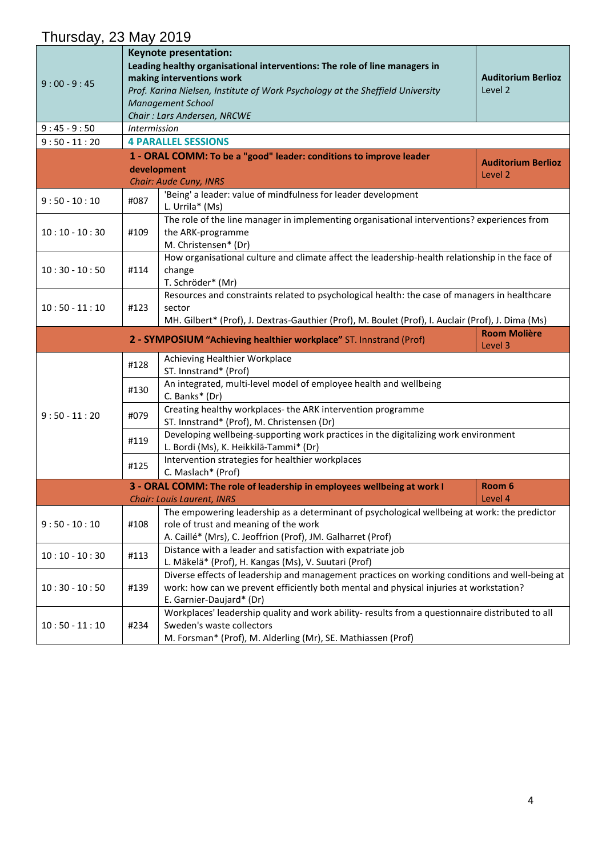#### Thursday, 23 May 2019 9 : 00 - 9 : 45 **Keynote presentation: Leading healthy organisational interventions: The role of line managers in making interventions work** *Prof. Karina Nielsen, Institute of Work Psychology at the Sheffield University Management School Chair : Lars Andersen, NRCWE* **Auditorium Berlioz** Level 2 9 : 45 - 9 : 50 *Intermission* 9 : 50 - 11 : 20 **4 PARALLEL SESSIONS 1 - ORAL COMM: To be a "good" leader: conditions to improve leader development** *Chair: Aude Cuny, INRS* **Auditorium Berlioz** Level 2 9 : 50 - 10 : 10  $\mid$  #087  $\mid$  'Being' a leader: value of mindfulness for leader development L. Urrila\* (Ms)  $10:10 - 10:30$  #109 The role of the line manager in implementing organisational interventions? experiences from the ARK-programme M. Christensen\* (Dr) 10 : 30 - 10 : 50 #114 How organisational culture and climate affect the leadership-health relationship in the face of change T. Schröder\* (Mr)  $10:50 - 11:10$   $\#123$ Resources and constraints related to psychological health: the case of managers in healthcare sector MH. Gilbert\* (Prof), J. Dextras-Gauthier (Prof), M. Boulet (Prof), I. Auclair (Prof), J. Dima (Ms) **2 - SYMPOSIUM "Achieving healthier workplace"** ST. Innstrand (Prof) **Room Molière** Level 3 9 : 50 - 11 : 20 #128 Achieving Healthier Workplace ST. Innstrand\* (Prof) #130 An integrated, multi-level model of employee health and wellbeing C. Banks\* (Dr) #079 Creating healthy workplaces- the ARK intervention programme ST. Innstrand\* (Prof), M. Christensen (Dr) #119 Developing wellbeing-supporting work practices in the digitalizing work environment L. Bordi (Ms), K. Heikkilä-Tammi\* (Dr) #125 | Intervention strategies for healthier workplaces C. Maslach\* (Prof) **3 - ORAL COMM: The role of leadership in employees wellbeing at work I** *Chair: Louis Laurent, INRS* **Room 6** Level 4  $9:50 - 10:10$   $\#108$ The empowering leadership as a determinant of psychological wellbeing at work: the predictor role of trust and meaning of the work A. Caillé\* (Mrs), C. Jeoffrion (Prof), JM. Galharret (Prof) 10 : 10 - 10 : 30  $\parallel$  #113 Distance with a leader and satisfaction with expatriate job L. Mäkelä\* (Prof), H. Kangas (Ms), V. Suutari (Prof)  $10:30 - 10:50$  #139 Diverse effects of leadership and management practices on working conditions and well-being at work: how can we prevent efficiently both mental and physical injuries at workstation? E. Garnier-Daujard\* (Dr) 10 : 50 - 11 : 10 #234 Workplaces' leadership quality and work ability- results from a questionnaire distributed to all Sweden's waste collectors M. Forsman\* (Prof), M. Alderling (Mr), SE. Mathiassen (Prof)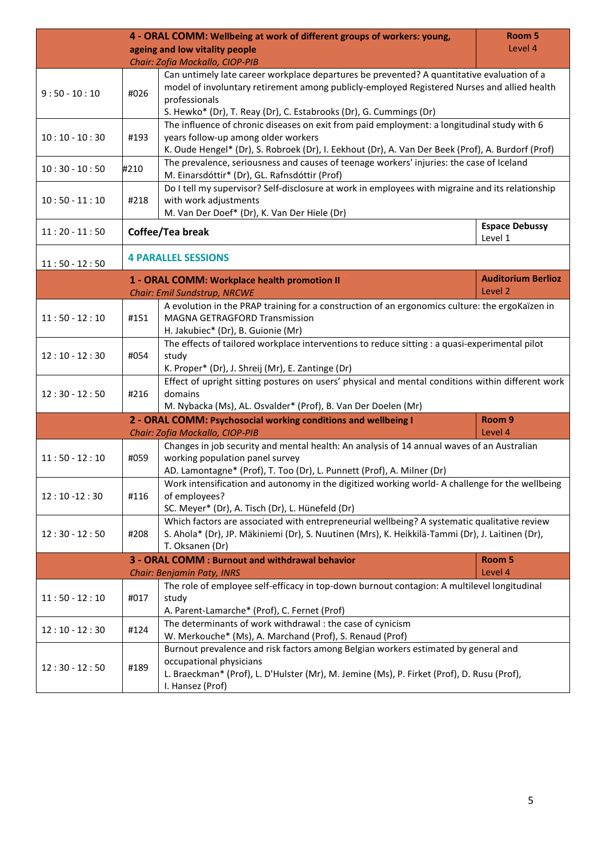| Room 5<br>4 - ORAL COMM: Wellbeing at work of different groups of workers: young,<br>Level 4 |      |                                                                                                                                                                                                                                                                                  |                                  |  |
|----------------------------------------------------------------------------------------------|------|----------------------------------------------------------------------------------------------------------------------------------------------------------------------------------------------------------------------------------------------------------------------------------|----------------------------------|--|
| ageing and low vitality people<br>Chair: Zofia Mockallo, CIOP-PIB                            |      |                                                                                                                                                                                                                                                                                  |                                  |  |
| $9:50 - 10:10$                                                                               | #026 | Can untimely late career workplace departures be prevented? A quantitative evaluation of a<br>model of involuntary retirement among publicly-employed Registered Nurses and allied health<br>professionals<br>S. Hewko* (Dr), T. Reay (Dr), C. Estabrooks (Dr), G. Cummings (Dr) |                                  |  |
| $10:10 - 10:30$                                                                              | #193 | The influence of chronic diseases on exit from paid employment: a longitudinal study with 6<br>years follow-up among older workers<br>K. Oude Hengel* (Dr), S. Robroek (Dr), I. Eekhout (Dr), A. Van Der Beek (Prof), A. Burdorf (Prof)                                          |                                  |  |
| $10:30 - 10:50$                                                                              | #210 | The prevalence, seriousness and causes of teenage workers' injuries: the case of Iceland<br>M. Einarsdóttir* (Dr), GL. Rafnsdóttir (Prof)                                                                                                                                        |                                  |  |
| $10:50 - 11:10$                                                                              | #218 | Do I tell my supervisor? Self-disclosure at work in employees with migraine and its relationship<br>with work adjustments<br>M. Van Der Doef* (Dr), K. Van Der Hiele (Dr)                                                                                                        |                                  |  |
| $11:20 - 11:50$                                                                              |      | Coffee/Tea break                                                                                                                                                                                                                                                                 | <b>Espace Debussy</b><br>Level 1 |  |
| $11:50 - 12:50$                                                                              |      | <b>4 PARALLEL SESSIONS</b>                                                                                                                                                                                                                                                       |                                  |  |
|                                                                                              |      | 1 - ORAL COMM: Workplace health promotion II                                                                                                                                                                                                                                     | <b>Auditorium Berlioz</b>        |  |
|                                                                                              |      | Chair: Emil Sundstrup, NRCWE                                                                                                                                                                                                                                                     | Level 2                          |  |
| $11:50 - 12:10$                                                                              | #151 | A evolution in the PRAP training for a construction of an ergonomics culture: the ergoKaïzen in<br><b>MAGNA GETRAGFORD Transmission</b><br>H. Jakubiec* (Dr), B. Guionie (Mr)                                                                                                    |                                  |  |
| $12:10 - 12:30$                                                                              | #054 | The effects of tailored workplace interventions to reduce sitting : a quasi-experimental pilot<br>study<br>K. Proper* (Dr), J. Shreij (Mr), E. Zantinge (Dr)                                                                                                                     |                                  |  |
| $12:30 - 12:50$                                                                              | #216 | Effect of upright sitting postures on users' physical and mental conditions within different work<br>domains<br>M. Nybacka (Ms), AL. Osvalder* (Prof), B. Van Der Doelen (Mr)                                                                                                    |                                  |  |
|                                                                                              |      | 2 - ORAL COMM: Psychosocial working conditions and wellbeing I                                                                                                                                                                                                                   | Room 9                           |  |
|                                                                                              |      | Chair: Zofia Mockallo, CIOP-PIB                                                                                                                                                                                                                                                  | Level 4                          |  |
| $11:50 - 12:10$                                                                              | #059 | Changes in job security and mental health: An analysis of 14 annual waves of an Australian<br>working population panel survey<br>AD. Lamontagne* (Prof), T. Too (Dr), L. Punnett (Prof), A. Milner (Dr)                                                                          |                                  |  |
| $12:10 - 12:30$                                                                              | #116 | Work intensification and autonomy in the digitized working world- A challenge for the wellbeing<br>of employees?<br>SC. Meyer* (Dr), A. Tisch (Dr), L. Hünefeld (Dr)                                                                                                             |                                  |  |
| $12:30 - 12:50$                                                                              | #208 | Which factors are associated with entrepreneurial wellbeing? A systematic qualitative review<br>S. Ahola* (Dr), JP. Mäkiniemi (Dr), S. Nuutinen (Mrs), K. Heikkilä-Tammi (Dr), J. Laitinen (Dr),<br>T. Oksanen (Dr)                                                              |                                  |  |
|                                                                                              |      | 3 - ORAL COMM : Burnout and withdrawal behavior                                                                                                                                                                                                                                  | Room 5                           |  |
|                                                                                              |      | Chair: Benjamin Paty, INRS                                                                                                                                                                                                                                                       | Level 4                          |  |
| $11:50 - 12:10$                                                                              | #017 | The role of employee self-efficacy in top-down burnout contagion: A multilevel longitudinal<br>study<br>A. Parent-Lamarche* (Prof), C. Fernet (Prof)                                                                                                                             |                                  |  |
| $12:10 - 12:30$                                                                              | #124 | The determinants of work withdrawal : the case of cynicism<br>W. Merkouche* (Ms), A. Marchand (Prof), S. Renaud (Prof)                                                                                                                                                           |                                  |  |
| $12:30 - 12:50$                                                                              | #189 | Burnout prevalence and risk factors among Belgian workers estimated by general and<br>occupational physicians<br>L. Braeckman* (Prof), L. D'Hulster (Mr), M. Jemine (Ms), P. Firket (Prof), D. Rusu (Prof),<br>I. Hansez (Prof)                                                  |                                  |  |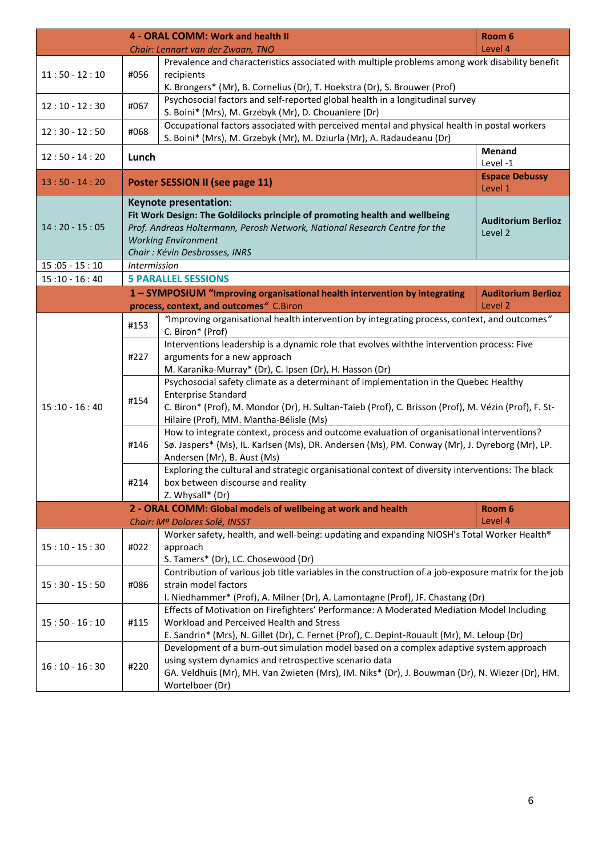|                 |              | 4 - ORAL COMM: Work and health II                                                                                                                                    | Room 6                                          |
|-----------------|--------------|----------------------------------------------------------------------------------------------------------------------------------------------------------------------|-------------------------------------------------|
|                 |              | Chair: Lennart van der Zwaan, TNO                                                                                                                                    | Level 4                                         |
|                 |              | Prevalence and characteristics associated with multiple problems among work disability benefit                                                                       |                                                 |
| $11:50 - 12:10$ | #056         | recipients                                                                                                                                                           |                                                 |
|                 |              | K. Brongers* (Mr), B. Cornelius (Dr), T. Hoekstra (Dr), S. Brouwer (Prof)                                                                                            |                                                 |
| $12:10 - 12:30$ | #067         | Psychosocial factors and self-reported global health in a longitudinal survey                                                                                        |                                                 |
|                 |              | S. Boini* (Mrs), M. Grzebyk (Mr), D. Chouaniere (Dr)                                                                                                                 |                                                 |
| $12:30 - 12:50$ | #068         | Occupational factors associated with perceived mental and physical health in postal workers<br>S. Boini* (Mrs), M. Grzebyk (Mr), M. Dziurla (Mr), A. Radaudeanu (Dr) |                                                 |
|                 |              |                                                                                                                                                                      | Menand                                          |
| $12:50 - 14:20$ | Lunch        |                                                                                                                                                                      | Level-1                                         |
| $13:50 - 14:20$ |              | Poster SESSION II (see page 11)                                                                                                                                      | <b>Espace Debussy</b><br>Level 1                |
|                 |              | Keynote presentation:                                                                                                                                                |                                                 |
|                 |              | Fit Work Design: The Goldilocks principle of promoting health and wellbeing                                                                                          | <b>Auditorium Berlioz</b>                       |
| $14:20 - 15:05$ |              | Prof. Andreas Holtermann, Perosh Network, National Research Centre for the                                                                                           | Level 2                                         |
|                 |              | <b>Working Environment</b>                                                                                                                                           |                                                 |
|                 |              | Chair: Kévin Desbrosses, INRS                                                                                                                                        |                                                 |
| $15:05 - 15:10$ | Intermission |                                                                                                                                                                      |                                                 |
| $15:10 - 16:40$ |              | <b>5 PARALLEL SESSIONS</b>                                                                                                                                           |                                                 |
|                 |              | 1 - SYMPOSIUM "Improving organisational health intervention by integrating                                                                                           | <b>Auditorium Berlioz</b><br>Level <sub>2</sub> |
|                 |              | process, context, and outcomes" C.Biron<br>"Improving organisational health intervention by integrating process, context, and outcomes"                              |                                                 |
|                 | #153         | C. Biron* (Prof)                                                                                                                                                     |                                                 |
|                 |              | Interventions leadership is a dynamic role that evolves with the intervention process: Five                                                                          |                                                 |
|                 | #227         | arguments for a new approach                                                                                                                                         |                                                 |
|                 |              | M. Karanika-Murray* (Dr), C. Ipsen (Dr), H. Hasson (Dr)                                                                                                              |                                                 |
|                 |              | Psychosocial safety climate as a determinant of implementation in the Quebec Healthy                                                                                 |                                                 |
|                 | #154         | <b>Enterprise Standard</b>                                                                                                                                           |                                                 |
| $15:10 - 16:40$ |              | C. Biron* (Prof), M. Mondor (Dr), H. Sultan-Taïeb (Prof), C. Brisson (Prof), M. Vézin (Prof), F. St-                                                                 |                                                 |
|                 |              | Hilaire (Prof), MM. Mantha-Bélisle (Ms)                                                                                                                              |                                                 |
|                 |              | How to integrate context, process and outcome evaluation of organisational interventions?                                                                            |                                                 |
|                 | #146         | Sø. Jaspers* (Ms), IL. Karlsen (Ms), DR. Andersen (Ms), PM. Conway (Mr), J. Dyreborg (Mr), LP.                                                                       |                                                 |
|                 |              | Andersen (Mr), B. Aust (Ms)<br>Exploring the cultural and strategic organisational context of diversity interventions: The black                                     |                                                 |
|                 |              | box between discourse and reality                                                                                                                                    |                                                 |
|                 | #214         | Z. Whysall* (Dr)                                                                                                                                                     |                                                 |
|                 |              | 2 - ORAL COMM: Global models of wellbeing at work and health                                                                                                         | Room 6                                          |
|                 |              | Chair: Mª Dolores Solé, INSST                                                                                                                                        | Level 4                                         |
|                 |              | Worker safety, health, and well-being: updating and expanding NIOSH's Total Worker Health®                                                                           |                                                 |
| $15:10 - 15:30$ | #022         | approach                                                                                                                                                             |                                                 |
|                 |              | S. Tamers* (Dr), LC. Chosewood (Dr)                                                                                                                                  |                                                 |
| $15:30 - 15:50$ |              | Contribution of various job title variables in the construction of a job-exposure matrix for the job                                                                 |                                                 |
|                 | #086         | strain model factors                                                                                                                                                 |                                                 |
|                 |              | I. Niedhammer* (Prof), A. Milner (Dr), A. Lamontagne (Prof), JF. Chastang (Dr)                                                                                       |                                                 |
| $15:50 - 16:10$ |              | Effects of Motivation on Firefighters' Performance: A Moderated Mediation Model Including                                                                            |                                                 |
|                 | #115         | Workload and Perceived Health and Stress<br>E. Sandrin* (Mrs), N. Gillet (Dr), C. Fernet (Prof), C. Depint-Rouault (Mr), M. Leloup (Dr)                              |                                                 |
|                 |              | Development of a burn-out simulation model based on a complex adaptive system approach                                                                               |                                                 |
|                 | #220         | using system dynamics and retrospective scenario data                                                                                                                |                                                 |
| $16:10 - 16:30$ |              | GA. Veldhuis (Mr), MH. Van Zwieten (Mrs), IM. Niks* (Dr), J. Bouwman (Dr), N. Wiezer (Dr), HM.                                                                       |                                                 |
|                 |              | Wortelboer (Dr)                                                                                                                                                      |                                                 |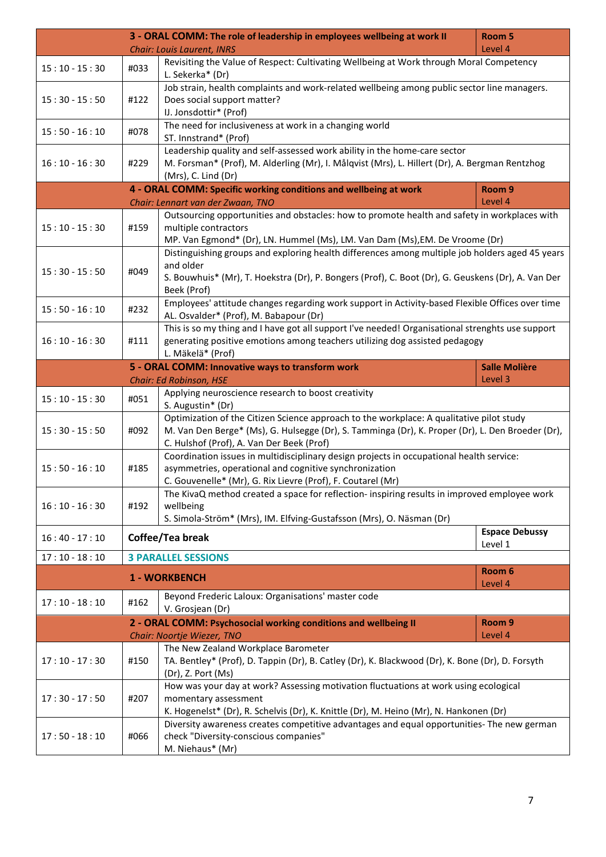| 3 - ORAL COMM: The role of leadership in employees wellbeing at work II<br>Room 5 |      |                                                                                                                                                                                                     |                       |
|-----------------------------------------------------------------------------------|------|-----------------------------------------------------------------------------------------------------------------------------------------------------------------------------------------------------|-----------------------|
|                                                                                   |      | <b>Chair: Louis Laurent, INRS</b>                                                                                                                                                                   | Level 4               |
| $15:10 - 15:30$                                                                   | #033 | Revisiting the Value of Respect: Cultivating Wellbeing at Work through Moral Competency<br>L. Sekerka* (Dr)                                                                                         |                       |
|                                                                                   |      | Job strain, health complaints and work-related wellbeing among public sector line managers.                                                                                                         |                       |
| $15:30 - 15:50$                                                                   | #122 | Does social support matter?                                                                                                                                                                         |                       |
|                                                                                   |      | IJ. Jonsdottir* (Prof)                                                                                                                                                                              |                       |
| $15:50 - 16:10$                                                                   | #078 | The need for inclusiveness at work in a changing world<br>ST. Innstrand* (Prof)                                                                                                                     |                       |
|                                                                                   |      | Leadership quality and self-assessed work ability in the home-care sector                                                                                                                           |                       |
| $16:10 - 16:30$                                                                   | #229 | M. Forsman* (Prof), M. Alderling (Mr), I. Målqvist (Mrs), L. Hillert (Dr), A. Bergman Rentzhog<br>(Mrs), C. Lind (Dr)                                                                               |                       |
|                                                                                   |      | 4 - ORAL COMM: Specific working conditions and wellbeing at work                                                                                                                                    | Room <sub>9</sub>     |
|                                                                                   |      | Chair: Lennart van der Zwaan, TNO                                                                                                                                                                   | Level 4               |
| $15:10 - 15:30$                                                                   | #159 | Outsourcing opportunities and obstacles: how to promote health and safety in workplaces with<br>multiple contractors<br>MP. Van Egmond* (Dr), LN. Hummel (Ms), LM. Van Dam (Ms), EM. De Vroome (Dr) |                       |
|                                                                                   |      | Distinguishing groups and exploring health differences among multiple job holders aged 45 years                                                                                                     |                       |
|                                                                                   |      | and older                                                                                                                                                                                           |                       |
| $15:30 - 15:50$                                                                   | #049 | S. Bouwhuis* (Mr), T. Hoekstra (Dr), P. Bongers (Prof), C. Boot (Dr), G. Geuskens (Dr), A. Van Der                                                                                                  |                       |
|                                                                                   |      | Beek (Prof)                                                                                                                                                                                         |                       |
| $15:50 - 16:10$                                                                   | #232 | Employees' attitude changes regarding work support in Activity-based Flexible Offices over time<br>AL. Osvalder* (Prof), M. Babapour (Dr)                                                           |                       |
|                                                                                   |      | This is so my thing and I have got all support I've needed! Organisational strenghts use support                                                                                                    |                       |
| $16:10 - 16:30$                                                                   | #111 | generating positive emotions among teachers utilizing dog assisted pedagogy<br>L. Mäkelä* (Prof)                                                                                                    |                       |
|                                                                                   |      | 5 - ORAL COMM: Innovative ways to transform work                                                                                                                                                    | <b>Salle Molière</b>  |
|                                                                                   |      | Chair: Ed Robinson, HSE                                                                                                                                                                             | Level 3               |
| $15:10 - 15:30$                                                                   | #051 | Applying neuroscience research to boost creativity<br>S. Augustin* (Dr)                                                                                                                             |                       |
|                                                                                   |      | Optimization of the Citizen Science approach to the workplace: A qualitative pilot study                                                                                                            |                       |
| $15:30 - 15:50$                                                                   | #092 | M. Van Den Berge* (Ms), G. Hulsegge (Dr), S. Tamminga (Dr), K. Proper (Dr), L. Den Broeder (Dr),                                                                                                    |                       |
|                                                                                   |      | C. Hulshof (Prof), A. Van Der Beek (Prof)                                                                                                                                                           |                       |
|                                                                                   |      | Coordination issues in multidisciplinary design projects in occupational health service:                                                                                                            |                       |
| $15:50 - 16:10$                                                                   | #185 | asymmetries, operational and cognitive synchronization                                                                                                                                              |                       |
|                                                                                   |      | C. Gouvenelle* (Mr), G. Rix Lievre (Prof), F. Coutarel (Mr)                                                                                                                                         |                       |
| $16:10 - 16:30$                                                                   | #192 | The KivaQ method created a space for reflection- inspiring results in improved employee work<br>wellbeing                                                                                           |                       |
|                                                                                   |      | S. Simola-Ström* (Mrs), IM. Elfving-Gustafsson (Mrs), O. Näsman (Dr)                                                                                                                                |                       |
|                                                                                   |      |                                                                                                                                                                                                     | <b>Espace Debussy</b> |
| $16:40 - 17:10$                                                                   |      | Coffee/Tea break                                                                                                                                                                                    | Level 1               |
| $17:10 - 18:10$                                                                   |      | <b>3 PARALLEL SESSIONS</b>                                                                                                                                                                          |                       |
|                                                                                   |      | 1 - WORKBENCH                                                                                                                                                                                       | Room 6<br>Level 4     |
| $17:10 - 18:10$                                                                   | #162 | Beyond Frederic Laloux: Organisations' master code<br>V. Grosjean (Dr)                                                                                                                              |                       |
|                                                                                   |      | 2 - ORAL COMM: Psychosocial working conditions and wellbeing II                                                                                                                                     | Room <sub>9</sub>     |
|                                                                                   |      | Chair: Noortje Wiezer, TNO                                                                                                                                                                          | Level 4               |
|                                                                                   |      | The New Zealand Workplace Barometer                                                                                                                                                                 |                       |
| $17:10 - 17:30$                                                                   | #150 | TA. Bentley* (Prof), D. Tappin (Dr), B. Catley (Dr), K. Blackwood (Dr), K. Bone (Dr), D. Forsyth<br>(Dr), Z. Port (Ms)                                                                              |                       |
|                                                                                   |      | How was your day at work? Assessing motivation fluctuations at work using ecological                                                                                                                |                       |
| $17:30 - 17:50$                                                                   | #207 | momentary assessment                                                                                                                                                                                |                       |
|                                                                                   |      | K. Hogenelst* (Dr), R. Schelvis (Dr), K. Knittle (Dr), M. Heino (Mr), N. Hankonen (Dr)                                                                                                              |                       |
| $17:50 - 18:10$                                                                   | #066 | Diversity awareness creates competitive advantages and equal opportunities- The new german                                                                                                          |                       |
|                                                                                   |      | check "Diversity-conscious companies"                                                                                                                                                               |                       |
|                                                                                   |      | M. Niehaus* (Mr)                                                                                                                                                                                    |                       |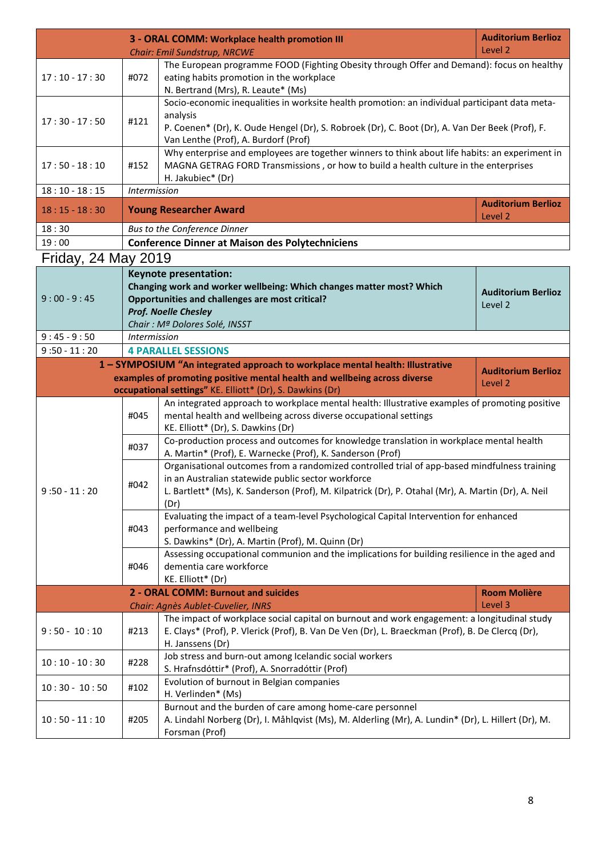|                     |                     | 3 - ORAL COMM: Workplace health promotion III<br>Chair: Emil Sundstrup, NRCWE                                                                                                                                                                                     | <b>Auditorium Berlioz</b><br>Level 2 |
|---------------------|---------------------|-------------------------------------------------------------------------------------------------------------------------------------------------------------------------------------------------------------------------------------------------------------------|--------------------------------------|
| $17:10 - 17:30$     | #072                | The European programme FOOD (Fighting Obesity through Offer and Demand): focus on healthy<br>eating habits promotion in the workplace<br>N. Bertrand (Mrs), R. Leaute* (Ms)                                                                                       |                                      |
| $17:30 - 17:50$     | #121                | Socio-economic inequalities in worksite health promotion: an individual participant data meta-<br>analysis<br>P. Coenen* (Dr), K. Oude Hengel (Dr), S. Robroek (Dr), C. Boot (Dr), A. Van Der Beek (Prof), F.<br>Van Lenthe (Prof), A. Burdorf (Prof)             |                                      |
| $17:50 - 18:10$     | #152                | Why enterprise and employees are together winners to think about life habits: an experiment in<br>MAGNA GETRAG FORD Transmissions, or how to build a health culture in the enterprises<br>H. Jakubiec* (Dr)                                                       |                                      |
| $18:10 - 18:15$     | Intermission        |                                                                                                                                                                                                                                                                   |                                      |
| $18:15 - 18:30$     |                     | <b>Young Researcher Award</b>                                                                                                                                                                                                                                     | <b>Auditorium Berlioz</b><br>Level 2 |
| 18:30               |                     | Bus to the Conference Dinner                                                                                                                                                                                                                                      |                                      |
| 19:00               |                     | <b>Conference Dinner at Maison des Polytechniciens</b>                                                                                                                                                                                                            |                                      |
| Friday, 24 May 2019 |                     |                                                                                                                                                                                                                                                                   |                                      |
| $9:00 - 9:45$       |                     | <b>Keynote presentation:</b><br>Changing work and worker wellbeing: Which changes matter most? Which<br>Opportunities and challenges are most critical?<br>Prof. Noelle Chesley<br>Chair: Mª Dolores Solé, INSST                                                  | <b>Auditorium Berlioz</b><br>Level 2 |
| $9:45 - 9:50$       | <b>Intermission</b> |                                                                                                                                                                                                                                                                   |                                      |
| $9:50 - 11:20$      |                     | <b>4 PARALLEL SESSIONS</b>                                                                                                                                                                                                                                        |                                      |
|                     |                     | 1 - SYMPOSIUM "An integrated approach to workplace mental health: Illustrative<br>examples of promoting positive mental health and wellbeing across diverse<br>occupational settings" KE. Elliott* (Dr), S. Dawkins (Dr)                                          | <b>Auditorium Berlioz</b><br>Level 2 |
|                     | #045                | An integrated approach to workplace mental health: Illustrative examples of promoting positive<br>mental health and wellbeing across diverse occupational settings<br>KE. Elliott* (Dr), S. Dawkins (Dr)                                                          |                                      |
|                     | #037                | Co-production process and outcomes for knowledge translation in workplace mental health<br>A. Martin* (Prof), E. Warnecke (Prof), K. Sanderson (Prof)                                                                                                             |                                      |
| $9:50 - 11:20$      | #042                | Organisational outcomes from a randomized controlled trial of app-based mindfulness training<br>in an Australian statewide public sector workforce<br>L. Bartlett* (Ms), K. Sanderson (Prof), M. Kilpatrick (Dr), P. Otahal (Mr), A. Martin (Dr), A. Neil<br>(Dr) |                                      |
|                     | #043                | Evaluating the impact of a team-level Psychological Capital Intervention for enhanced<br>performance and wellbeing<br>S. Dawkins* (Dr), A. Martin (Prof), M. Quinn (Dr)                                                                                           |                                      |
|                     | #046                | Assessing occupational communion and the implications for building resilience in the aged and<br>dementia care workforce<br>KE. Elliott* (Dr)                                                                                                                     |                                      |
|                     |                     | 2 - ORAL COMM: Burnout and suicides                                                                                                                                                                                                                               | <b>Room Molière</b>                  |
|                     |                     | Chair: Agnès Aublet-Cuvelier, INRS                                                                                                                                                                                                                                | Level 3                              |
| $9:50 - 10:10$      | #213                | The impact of workplace social capital on burnout and work engagement: a longitudinal study<br>E. Clays* (Prof), P. Vlerick (Prof), B. Van De Ven (Dr), L. Braeckman (Prof), B. De Clercq (Dr),<br>H. Janssens (Dr)                                               |                                      |
| $10:10 - 10:30$     | #228                | Job stress and burn-out among Icelandic social workers<br>S. Hrafnsdóttir* (Prof), A. Snorradóttir (Prof)                                                                                                                                                         |                                      |
| $10:30 - 10:50$     | #102                | Evolution of burnout in Belgian companies<br>H. Verlinden* (Ms)                                                                                                                                                                                                   |                                      |
| $10:50 - 11:10$     | #205                | Burnout and the burden of care among home-care personnel<br>A. Lindahl Norberg (Dr), I. Måhlqvist (Ms), M. Alderling (Mr), A. Lundin* (Dr), L. Hillert (Dr), M.<br>Forsman (Prof)                                                                                 |                                      |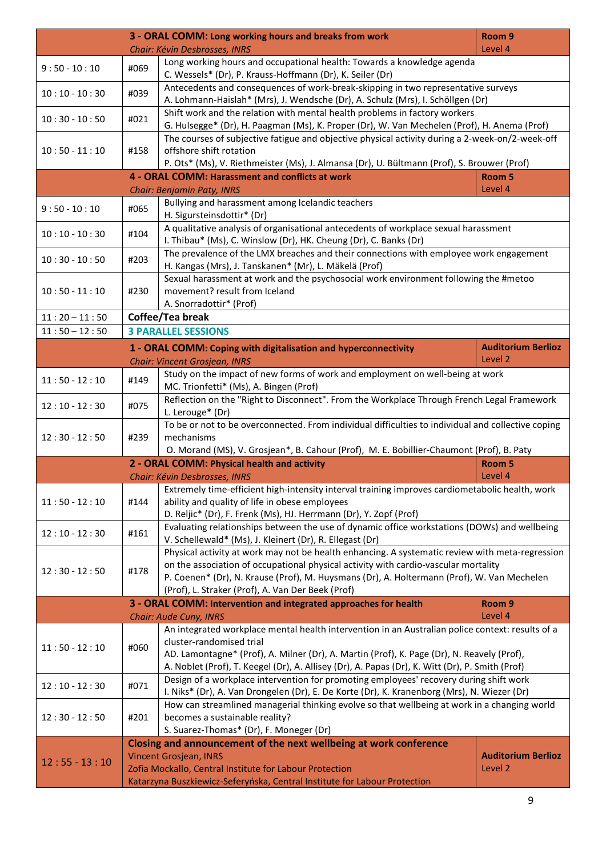| Chair: Kévin Desbrosses, INRS<br>Long working hours and occupational health: Towards a knowledge agenda<br>$9:50 - 10:10$<br>#069<br>C. Wessels* (Dr), P. Krauss-Hoffmann (Dr), K. Seiler (Dr)<br>Antecedents and consequences of work-break-skipping in two representative surveys<br>$10:10 - 10:30$<br>#039<br>A. Lohmann-Haislah* (Mrs), J. Wendsche (Dr), A. Schulz (Mrs), I. Schöllgen (Dr)<br>Shift work and the relation with mental health problems in factory workers<br>$10:30 - 10:50$<br>#021<br>G. Hulsegge* (Dr), H. Paagman (Ms), K. Proper (Dr), W. Van Mechelen (Prof), H. Anema (Prof)<br>The courses of subjective fatigue and objective physical activity during a 2-week-on/2-week-off<br>offshore shift rotation<br>$10:50 - 11:10$<br>#158<br>P. Ots* (Ms), V. Riethmeister (Ms), J. Almansa (Dr), U. Bültmann (Prof), S. Brouwer (Prof)<br>4 - ORAL COMM: Harassment and conflicts at work<br>Room 5<br>Level 4<br>Chair: Benjamin Paty, INRS<br>Bullying and harassment among Icelandic teachers<br>$9:50 - 10:10$<br>#065<br>H. Sigursteinsdottir* (Dr)<br>A qualitative analysis of organisational antecedents of workplace sexual harassment<br>$10:10 - 10:30$<br>#104<br>I. Thibau* (Ms), C. Winslow (Dr), HK. Cheung (Dr), C. Banks (Dr)<br>The prevalence of the LMX breaches and their connections with employee work engagement<br>$10:30 - 10:50$<br>#203<br>H. Kangas (Mrs), J. Tanskanen* (Mr), L. Mäkelä (Prof)<br>Sexual harassment at work and the psychosocial work environment following the #metoo<br>movement? result from Iceland<br>$10:50 - 11:10$<br>#230<br>A. Snorradottir* (Prof)<br>$11:20 - 11:50$<br>Coffee/Tea break<br>$11:50 - 12:50$<br><b>3 PARALLEL SESSIONS</b><br><b>Auditorium Berlioz</b><br>1 - ORAL COMM: Coping with digitalisation and hyperconnectivity<br>Level <sub>2</sub><br>Chair: Vincent Grosjean, INRS<br>Study on the impact of new forms of work and employment on well-being at work<br>$11:50 - 12:10$<br>#149<br>MC. Trionfetti* (Ms), A. Bingen (Prof)<br>Reflection on the "Right to Disconnect". From the Workplace Through French Legal Framework<br>$12:10 - 12:30$<br>#075<br>L. Lerouge* (Dr)<br>To be or not to be overconnected. From individual difficulties to individual and collective coping<br>#239<br>mechanisms<br>$12:30 - 12:50$<br>O. Morand (MS), V. Grosjean*, B. Cahour (Prof), M. E. Bobillier-Chaumont (Prof), B. Paty<br>2 - ORAL COMM: Physical health and activity<br>Room 5<br>Level 4<br>Chair: Kévin Desbrosses, INRS<br>Extremely time-efficient high-intensity interval training improves cardiometabolic health, work<br>ability and quality of life in obese employees<br>$11:50 - 12:10$<br>#144<br>D. Reljic* (Dr), F. Frenk (Ms), HJ. Herrmann (Dr), Y. Zopf (Prof)<br>Evaluating relationships between the use of dynamic office workstations (DOWs) and wellbeing<br>#161<br>$12:10 - 12:30$<br>V. Schellewald* (Ms), J. Kleinert (Dr), R. Ellegast (Dr)<br>Physical activity at work may not be health enhancing. A systematic review with meta-regression<br>on the association of occupational physical activity with cardio-vascular mortality<br>#178<br>$12:30 - 12:50$<br>P. Coenen* (Dr), N. Krause (Prof), M. Huysmans (Dr), A. Holtermann (Prof), W. Van Mechelen<br>(Prof), L. Straker (Prof), A. Van Der Beek (Prof)<br>3 - ORAL COMM: Intervention and integrated approaches for health<br>Room <sub>9</sub><br>Level 4<br>Chair: Aude Cuny, INRS<br>An integrated workplace mental health intervention in an Australian police context: results of a<br>cluster-randomised trial<br>$11:50 - 12:10$<br>#060<br>AD. Lamontagne* (Prof), A. Milner (Dr), A. Martin (Prof), K. Page (Dr), N. Reavely (Prof),<br>A. Noblet (Prof), T. Keegel (Dr), A. Allisey (Dr), A. Papas (Dr), K. Witt (Dr), P. Smith (Prof)<br>Design of a workplace intervention for promoting employees' recovery during shift work<br>$12:10 - 12:30$<br>#071<br>I. Niks* (Dr), A. Van Drongelen (Dr), E. De Korte (Dr), K. Kranenborg (Mrs), N. Wiezer (Dr)<br>How can streamlined managerial thinking evolve so that wellbeing at work in a changing world<br>$12:30 - 12:50$<br>#201<br>becomes a sustainable reality?<br>S. Suarez-Thomas* (Dr), F. Moneger (Dr)<br>Closing and announcement of the next wellbeing at work conference<br><b>Vincent Grosjean, INRS</b><br><b>Auditorium Berlioz</b><br>$12:55 - 13:10$<br>Level 2<br>Zofia Mockallo, Central Institute for Labour Protection<br>Katarzyna Buszkiewicz-Seferyńska, Central Institute for Labour Protection |  | 3 - ORAL COMM: Long working hours and breaks from work | Room <sub>9</sub> |
|--------------------------------------------------------------------------------------------------------------------------------------------------------------------------------------------------------------------------------------------------------------------------------------------------------------------------------------------------------------------------------------------------------------------------------------------------------------------------------------------------------------------------------------------------------------------------------------------------------------------------------------------------------------------------------------------------------------------------------------------------------------------------------------------------------------------------------------------------------------------------------------------------------------------------------------------------------------------------------------------------------------------------------------------------------------------------------------------------------------------------------------------------------------------------------------------------------------------------------------------------------------------------------------------------------------------------------------------------------------------------------------------------------------------------------------------------------------------------------------------------------------------------------------------------------------------------------------------------------------------------------------------------------------------------------------------------------------------------------------------------------------------------------------------------------------------------------------------------------------------------------------------------------------------------------------------------------------------------------------------------------------------------------------------------------------------------------------------------------------------------------------------------------------------------------------------------------------------------------------------------------------------------------------------------------------------------------------------------------------------------------------------------------------------------------------------------------------------------------------------------------------------------------------------------------------------------------------------------------------------------------------------------------------------------------------------------------------------------------------------------------------------------------------------------------------------------------------------------------------------------------------------------------------------------------------------------------------------------------------------------------------------------------------------------------------------------------------------------------------------------------------------------------------------------------------------------------------------------------------------------------------------------------------------------------------------------------------------------------------------------------------------------------------------------------------------------------------------------------------------------------------------------------------------------------------------------------------------------------------------------------------------------------------------------------------------------------------------------------------------------------------------------------------------------------------------------------------------------------------------------------------------------------------------------------------------------------------------------------------------------------------------------------------------------------------------------------------------------------------------------------------------------------------------------------------------------------------------------------------------------------------------------------------------------------------------------------------------------------------------------------------------------------------------------------------------------------------------------------------------------------------------------------------------------------------------------------------------|--|--------------------------------------------------------|-------------------|
|                                                                                                                                                                                                                                                                                                                                                                                                                                                                                                                                                                                                                                                                                                                                                                                                                                                                                                                                                                                                                                                                                                                                                                                                                                                                                                                                                                                                                                                                                                                                                                                                                                                                                                                                                                                                                                                                                                                                                                                                                                                                                                                                                                                                                                                                                                                                                                                                                                                                                                                                                                                                                                                                                                                                                                                                                                                                                                                                                                                                                                                                                                                                                                                                                                                                                                                                                                                                                                                                                                                                                                                                                                                                                                                                                                                                                                                                                                                                                                                                                                                                                                                                                                                                                                                                                                                                                                                                                                                                                                                                                                                            |  |                                                        | Level 4           |
|                                                                                                                                                                                                                                                                                                                                                                                                                                                                                                                                                                                                                                                                                                                                                                                                                                                                                                                                                                                                                                                                                                                                                                                                                                                                                                                                                                                                                                                                                                                                                                                                                                                                                                                                                                                                                                                                                                                                                                                                                                                                                                                                                                                                                                                                                                                                                                                                                                                                                                                                                                                                                                                                                                                                                                                                                                                                                                                                                                                                                                                                                                                                                                                                                                                                                                                                                                                                                                                                                                                                                                                                                                                                                                                                                                                                                                                                                                                                                                                                                                                                                                                                                                                                                                                                                                                                                                                                                                                                                                                                                                                            |  |                                                        |                   |
|                                                                                                                                                                                                                                                                                                                                                                                                                                                                                                                                                                                                                                                                                                                                                                                                                                                                                                                                                                                                                                                                                                                                                                                                                                                                                                                                                                                                                                                                                                                                                                                                                                                                                                                                                                                                                                                                                                                                                                                                                                                                                                                                                                                                                                                                                                                                                                                                                                                                                                                                                                                                                                                                                                                                                                                                                                                                                                                                                                                                                                                                                                                                                                                                                                                                                                                                                                                                                                                                                                                                                                                                                                                                                                                                                                                                                                                                                                                                                                                                                                                                                                                                                                                                                                                                                                                                                                                                                                                                                                                                                                                            |  |                                                        |                   |
|                                                                                                                                                                                                                                                                                                                                                                                                                                                                                                                                                                                                                                                                                                                                                                                                                                                                                                                                                                                                                                                                                                                                                                                                                                                                                                                                                                                                                                                                                                                                                                                                                                                                                                                                                                                                                                                                                                                                                                                                                                                                                                                                                                                                                                                                                                                                                                                                                                                                                                                                                                                                                                                                                                                                                                                                                                                                                                                                                                                                                                                                                                                                                                                                                                                                                                                                                                                                                                                                                                                                                                                                                                                                                                                                                                                                                                                                                                                                                                                                                                                                                                                                                                                                                                                                                                                                                                                                                                                                                                                                                                                            |  |                                                        |                   |
|                                                                                                                                                                                                                                                                                                                                                                                                                                                                                                                                                                                                                                                                                                                                                                                                                                                                                                                                                                                                                                                                                                                                                                                                                                                                                                                                                                                                                                                                                                                                                                                                                                                                                                                                                                                                                                                                                                                                                                                                                                                                                                                                                                                                                                                                                                                                                                                                                                                                                                                                                                                                                                                                                                                                                                                                                                                                                                                                                                                                                                                                                                                                                                                                                                                                                                                                                                                                                                                                                                                                                                                                                                                                                                                                                                                                                                                                                                                                                                                                                                                                                                                                                                                                                                                                                                                                                                                                                                                                                                                                                                                            |  |                                                        |                   |
|                                                                                                                                                                                                                                                                                                                                                                                                                                                                                                                                                                                                                                                                                                                                                                                                                                                                                                                                                                                                                                                                                                                                                                                                                                                                                                                                                                                                                                                                                                                                                                                                                                                                                                                                                                                                                                                                                                                                                                                                                                                                                                                                                                                                                                                                                                                                                                                                                                                                                                                                                                                                                                                                                                                                                                                                                                                                                                                                                                                                                                                                                                                                                                                                                                                                                                                                                                                                                                                                                                                                                                                                                                                                                                                                                                                                                                                                                                                                                                                                                                                                                                                                                                                                                                                                                                                                                                                                                                                                                                                                                                                            |  |                                                        |                   |
|                                                                                                                                                                                                                                                                                                                                                                                                                                                                                                                                                                                                                                                                                                                                                                                                                                                                                                                                                                                                                                                                                                                                                                                                                                                                                                                                                                                                                                                                                                                                                                                                                                                                                                                                                                                                                                                                                                                                                                                                                                                                                                                                                                                                                                                                                                                                                                                                                                                                                                                                                                                                                                                                                                                                                                                                                                                                                                                                                                                                                                                                                                                                                                                                                                                                                                                                                                                                                                                                                                                                                                                                                                                                                                                                                                                                                                                                                                                                                                                                                                                                                                                                                                                                                                                                                                                                                                                                                                                                                                                                                                                            |  |                                                        |                   |
|                                                                                                                                                                                                                                                                                                                                                                                                                                                                                                                                                                                                                                                                                                                                                                                                                                                                                                                                                                                                                                                                                                                                                                                                                                                                                                                                                                                                                                                                                                                                                                                                                                                                                                                                                                                                                                                                                                                                                                                                                                                                                                                                                                                                                                                                                                                                                                                                                                                                                                                                                                                                                                                                                                                                                                                                                                                                                                                                                                                                                                                                                                                                                                                                                                                                                                                                                                                                                                                                                                                                                                                                                                                                                                                                                                                                                                                                                                                                                                                                                                                                                                                                                                                                                                                                                                                                                                                                                                                                                                                                                                                            |  |                                                        |                   |
|                                                                                                                                                                                                                                                                                                                                                                                                                                                                                                                                                                                                                                                                                                                                                                                                                                                                                                                                                                                                                                                                                                                                                                                                                                                                                                                                                                                                                                                                                                                                                                                                                                                                                                                                                                                                                                                                                                                                                                                                                                                                                                                                                                                                                                                                                                                                                                                                                                                                                                                                                                                                                                                                                                                                                                                                                                                                                                                                                                                                                                                                                                                                                                                                                                                                                                                                                                                                                                                                                                                                                                                                                                                                                                                                                                                                                                                                                                                                                                                                                                                                                                                                                                                                                                                                                                                                                                                                                                                                                                                                                                                            |  |                                                        |                   |
|                                                                                                                                                                                                                                                                                                                                                                                                                                                                                                                                                                                                                                                                                                                                                                                                                                                                                                                                                                                                                                                                                                                                                                                                                                                                                                                                                                                                                                                                                                                                                                                                                                                                                                                                                                                                                                                                                                                                                                                                                                                                                                                                                                                                                                                                                                                                                                                                                                                                                                                                                                                                                                                                                                                                                                                                                                                                                                                                                                                                                                                                                                                                                                                                                                                                                                                                                                                                                                                                                                                                                                                                                                                                                                                                                                                                                                                                                                                                                                                                                                                                                                                                                                                                                                                                                                                                                                                                                                                                                                                                                                                            |  |                                                        |                   |
|                                                                                                                                                                                                                                                                                                                                                                                                                                                                                                                                                                                                                                                                                                                                                                                                                                                                                                                                                                                                                                                                                                                                                                                                                                                                                                                                                                                                                                                                                                                                                                                                                                                                                                                                                                                                                                                                                                                                                                                                                                                                                                                                                                                                                                                                                                                                                                                                                                                                                                                                                                                                                                                                                                                                                                                                                                                                                                                                                                                                                                                                                                                                                                                                                                                                                                                                                                                                                                                                                                                                                                                                                                                                                                                                                                                                                                                                                                                                                                                                                                                                                                                                                                                                                                                                                                                                                                                                                                                                                                                                                                                            |  |                                                        |                   |
|                                                                                                                                                                                                                                                                                                                                                                                                                                                                                                                                                                                                                                                                                                                                                                                                                                                                                                                                                                                                                                                                                                                                                                                                                                                                                                                                                                                                                                                                                                                                                                                                                                                                                                                                                                                                                                                                                                                                                                                                                                                                                                                                                                                                                                                                                                                                                                                                                                                                                                                                                                                                                                                                                                                                                                                                                                                                                                                                                                                                                                                                                                                                                                                                                                                                                                                                                                                                                                                                                                                                                                                                                                                                                                                                                                                                                                                                                                                                                                                                                                                                                                                                                                                                                                                                                                                                                                                                                                                                                                                                                                                            |  |                                                        |                   |
|                                                                                                                                                                                                                                                                                                                                                                                                                                                                                                                                                                                                                                                                                                                                                                                                                                                                                                                                                                                                                                                                                                                                                                                                                                                                                                                                                                                                                                                                                                                                                                                                                                                                                                                                                                                                                                                                                                                                                                                                                                                                                                                                                                                                                                                                                                                                                                                                                                                                                                                                                                                                                                                                                                                                                                                                                                                                                                                                                                                                                                                                                                                                                                                                                                                                                                                                                                                                                                                                                                                                                                                                                                                                                                                                                                                                                                                                                                                                                                                                                                                                                                                                                                                                                                                                                                                                                                                                                                                                                                                                                                                            |  |                                                        |                   |
|                                                                                                                                                                                                                                                                                                                                                                                                                                                                                                                                                                                                                                                                                                                                                                                                                                                                                                                                                                                                                                                                                                                                                                                                                                                                                                                                                                                                                                                                                                                                                                                                                                                                                                                                                                                                                                                                                                                                                                                                                                                                                                                                                                                                                                                                                                                                                                                                                                                                                                                                                                                                                                                                                                                                                                                                                                                                                                                                                                                                                                                                                                                                                                                                                                                                                                                                                                                                                                                                                                                                                                                                                                                                                                                                                                                                                                                                                                                                                                                                                                                                                                                                                                                                                                                                                                                                                                                                                                                                                                                                                                                            |  |                                                        |                   |
|                                                                                                                                                                                                                                                                                                                                                                                                                                                                                                                                                                                                                                                                                                                                                                                                                                                                                                                                                                                                                                                                                                                                                                                                                                                                                                                                                                                                                                                                                                                                                                                                                                                                                                                                                                                                                                                                                                                                                                                                                                                                                                                                                                                                                                                                                                                                                                                                                                                                                                                                                                                                                                                                                                                                                                                                                                                                                                                                                                                                                                                                                                                                                                                                                                                                                                                                                                                                                                                                                                                                                                                                                                                                                                                                                                                                                                                                                                                                                                                                                                                                                                                                                                                                                                                                                                                                                                                                                                                                                                                                                                                            |  |                                                        |                   |
|                                                                                                                                                                                                                                                                                                                                                                                                                                                                                                                                                                                                                                                                                                                                                                                                                                                                                                                                                                                                                                                                                                                                                                                                                                                                                                                                                                                                                                                                                                                                                                                                                                                                                                                                                                                                                                                                                                                                                                                                                                                                                                                                                                                                                                                                                                                                                                                                                                                                                                                                                                                                                                                                                                                                                                                                                                                                                                                                                                                                                                                                                                                                                                                                                                                                                                                                                                                                                                                                                                                                                                                                                                                                                                                                                                                                                                                                                                                                                                                                                                                                                                                                                                                                                                                                                                                                                                                                                                                                                                                                                                                            |  |                                                        |                   |
|                                                                                                                                                                                                                                                                                                                                                                                                                                                                                                                                                                                                                                                                                                                                                                                                                                                                                                                                                                                                                                                                                                                                                                                                                                                                                                                                                                                                                                                                                                                                                                                                                                                                                                                                                                                                                                                                                                                                                                                                                                                                                                                                                                                                                                                                                                                                                                                                                                                                                                                                                                                                                                                                                                                                                                                                                                                                                                                                                                                                                                                                                                                                                                                                                                                                                                                                                                                                                                                                                                                                                                                                                                                                                                                                                                                                                                                                                                                                                                                                                                                                                                                                                                                                                                                                                                                                                                                                                                                                                                                                                                                            |  |                                                        |                   |
|                                                                                                                                                                                                                                                                                                                                                                                                                                                                                                                                                                                                                                                                                                                                                                                                                                                                                                                                                                                                                                                                                                                                                                                                                                                                                                                                                                                                                                                                                                                                                                                                                                                                                                                                                                                                                                                                                                                                                                                                                                                                                                                                                                                                                                                                                                                                                                                                                                                                                                                                                                                                                                                                                                                                                                                                                                                                                                                                                                                                                                                                                                                                                                                                                                                                                                                                                                                                                                                                                                                                                                                                                                                                                                                                                                                                                                                                                                                                                                                                                                                                                                                                                                                                                                                                                                                                                                                                                                                                                                                                                                                            |  |                                                        |                   |
|                                                                                                                                                                                                                                                                                                                                                                                                                                                                                                                                                                                                                                                                                                                                                                                                                                                                                                                                                                                                                                                                                                                                                                                                                                                                                                                                                                                                                                                                                                                                                                                                                                                                                                                                                                                                                                                                                                                                                                                                                                                                                                                                                                                                                                                                                                                                                                                                                                                                                                                                                                                                                                                                                                                                                                                                                                                                                                                                                                                                                                                                                                                                                                                                                                                                                                                                                                                                                                                                                                                                                                                                                                                                                                                                                                                                                                                                                                                                                                                                                                                                                                                                                                                                                                                                                                                                                                                                                                                                                                                                                                                            |  |                                                        |                   |
|                                                                                                                                                                                                                                                                                                                                                                                                                                                                                                                                                                                                                                                                                                                                                                                                                                                                                                                                                                                                                                                                                                                                                                                                                                                                                                                                                                                                                                                                                                                                                                                                                                                                                                                                                                                                                                                                                                                                                                                                                                                                                                                                                                                                                                                                                                                                                                                                                                                                                                                                                                                                                                                                                                                                                                                                                                                                                                                                                                                                                                                                                                                                                                                                                                                                                                                                                                                                                                                                                                                                                                                                                                                                                                                                                                                                                                                                                                                                                                                                                                                                                                                                                                                                                                                                                                                                                                                                                                                                                                                                                                                            |  |                                                        |                   |
|                                                                                                                                                                                                                                                                                                                                                                                                                                                                                                                                                                                                                                                                                                                                                                                                                                                                                                                                                                                                                                                                                                                                                                                                                                                                                                                                                                                                                                                                                                                                                                                                                                                                                                                                                                                                                                                                                                                                                                                                                                                                                                                                                                                                                                                                                                                                                                                                                                                                                                                                                                                                                                                                                                                                                                                                                                                                                                                                                                                                                                                                                                                                                                                                                                                                                                                                                                                                                                                                                                                                                                                                                                                                                                                                                                                                                                                                                                                                                                                                                                                                                                                                                                                                                                                                                                                                                                                                                                                                                                                                                                                            |  |                                                        |                   |
|                                                                                                                                                                                                                                                                                                                                                                                                                                                                                                                                                                                                                                                                                                                                                                                                                                                                                                                                                                                                                                                                                                                                                                                                                                                                                                                                                                                                                                                                                                                                                                                                                                                                                                                                                                                                                                                                                                                                                                                                                                                                                                                                                                                                                                                                                                                                                                                                                                                                                                                                                                                                                                                                                                                                                                                                                                                                                                                                                                                                                                                                                                                                                                                                                                                                                                                                                                                                                                                                                                                                                                                                                                                                                                                                                                                                                                                                                                                                                                                                                                                                                                                                                                                                                                                                                                                                                                                                                                                                                                                                                                                            |  |                                                        |                   |
|                                                                                                                                                                                                                                                                                                                                                                                                                                                                                                                                                                                                                                                                                                                                                                                                                                                                                                                                                                                                                                                                                                                                                                                                                                                                                                                                                                                                                                                                                                                                                                                                                                                                                                                                                                                                                                                                                                                                                                                                                                                                                                                                                                                                                                                                                                                                                                                                                                                                                                                                                                                                                                                                                                                                                                                                                                                                                                                                                                                                                                                                                                                                                                                                                                                                                                                                                                                                                                                                                                                                                                                                                                                                                                                                                                                                                                                                                                                                                                                                                                                                                                                                                                                                                                                                                                                                                                                                                                                                                                                                                                                            |  |                                                        |                   |
|                                                                                                                                                                                                                                                                                                                                                                                                                                                                                                                                                                                                                                                                                                                                                                                                                                                                                                                                                                                                                                                                                                                                                                                                                                                                                                                                                                                                                                                                                                                                                                                                                                                                                                                                                                                                                                                                                                                                                                                                                                                                                                                                                                                                                                                                                                                                                                                                                                                                                                                                                                                                                                                                                                                                                                                                                                                                                                                                                                                                                                                                                                                                                                                                                                                                                                                                                                                                                                                                                                                                                                                                                                                                                                                                                                                                                                                                                                                                                                                                                                                                                                                                                                                                                                                                                                                                                                                                                                                                                                                                                                                            |  |                                                        |                   |
|                                                                                                                                                                                                                                                                                                                                                                                                                                                                                                                                                                                                                                                                                                                                                                                                                                                                                                                                                                                                                                                                                                                                                                                                                                                                                                                                                                                                                                                                                                                                                                                                                                                                                                                                                                                                                                                                                                                                                                                                                                                                                                                                                                                                                                                                                                                                                                                                                                                                                                                                                                                                                                                                                                                                                                                                                                                                                                                                                                                                                                                                                                                                                                                                                                                                                                                                                                                                                                                                                                                                                                                                                                                                                                                                                                                                                                                                                                                                                                                                                                                                                                                                                                                                                                                                                                                                                                                                                                                                                                                                                                                            |  |                                                        |                   |
|                                                                                                                                                                                                                                                                                                                                                                                                                                                                                                                                                                                                                                                                                                                                                                                                                                                                                                                                                                                                                                                                                                                                                                                                                                                                                                                                                                                                                                                                                                                                                                                                                                                                                                                                                                                                                                                                                                                                                                                                                                                                                                                                                                                                                                                                                                                                                                                                                                                                                                                                                                                                                                                                                                                                                                                                                                                                                                                                                                                                                                                                                                                                                                                                                                                                                                                                                                                                                                                                                                                                                                                                                                                                                                                                                                                                                                                                                                                                                                                                                                                                                                                                                                                                                                                                                                                                                                                                                                                                                                                                                                                            |  |                                                        |                   |
|                                                                                                                                                                                                                                                                                                                                                                                                                                                                                                                                                                                                                                                                                                                                                                                                                                                                                                                                                                                                                                                                                                                                                                                                                                                                                                                                                                                                                                                                                                                                                                                                                                                                                                                                                                                                                                                                                                                                                                                                                                                                                                                                                                                                                                                                                                                                                                                                                                                                                                                                                                                                                                                                                                                                                                                                                                                                                                                                                                                                                                                                                                                                                                                                                                                                                                                                                                                                                                                                                                                                                                                                                                                                                                                                                                                                                                                                                                                                                                                                                                                                                                                                                                                                                                                                                                                                                                                                                                                                                                                                                                                            |  |                                                        |                   |
|                                                                                                                                                                                                                                                                                                                                                                                                                                                                                                                                                                                                                                                                                                                                                                                                                                                                                                                                                                                                                                                                                                                                                                                                                                                                                                                                                                                                                                                                                                                                                                                                                                                                                                                                                                                                                                                                                                                                                                                                                                                                                                                                                                                                                                                                                                                                                                                                                                                                                                                                                                                                                                                                                                                                                                                                                                                                                                                                                                                                                                                                                                                                                                                                                                                                                                                                                                                                                                                                                                                                                                                                                                                                                                                                                                                                                                                                                                                                                                                                                                                                                                                                                                                                                                                                                                                                                                                                                                                                                                                                                                                            |  |                                                        |                   |
|                                                                                                                                                                                                                                                                                                                                                                                                                                                                                                                                                                                                                                                                                                                                                                                                                                                                                                                                                                                                                                                                                                                                                                                                                                                                                                                                                                                                                                                                                                                                                                                                                                                                                                                                                                                                                                                                                                                                                                                                                                                                                                                                                                                                                                                                                                                                                                                                                                                                                                                                                                                                                                                                                                                                                                                                                                                                                                                                                                                                                                                                                                                                                                                                                                                                                                                                                                                                                                                                                                                                                                                                                                                                                                                                                                                                                                                                                                                                                                                                                                                                                                                                                                                                                                                                                                                                                                                                                                                                                                                                                                                            |  |                                                        |                   |
|                                                                                                                                                                                                                                                                                                                                                                                                                                                                                                                                                                                                                                                                                                                                                                                                                                                                                                                                                                                                                                                                                                                                                                                                                                                                                                                                                                                                                                                                                                                                                                                                                                                                                                                                                                                                                                                                                                                                                                                                                                                                                                                                                                                                                                                                                                                                                                                                                                                                                                                                                                                                                                                                                                                                                                                                                                                                                                                                                                                                                                                                                                                                                                                                                                                                                                                                                                                                                                                                                                                                                                                                                                                                                                                                                                                                                                                                                                                                                                                                                                                                                                                                                                                                                                                                                                                                                                                                                                                                                                                                                                                            |  |                                                        |                   |
|                                                                                                                                                                                                                                                                                                                                                                                                                                                                                                                                                                                                                                                                                                                                                                                                                                                                                                                                                                                                                                                                                                                                                                                                                                                                                                                                                                                                                                                                                                                                                                                                                                                                                                                                                                                                                                                                                                                                                                                                                                                                                                                                                                                                                                                                                                                                                                                                                                                                                                                                                                                                                                                                                                                                                                                                                                                                                                                                                                                                                                                                                                                                                                                                                                                                                                                                                                                                                                                                                                                                                                                                                                                                                                                                                                                                                                                                                                                                                                                                                                                                                                                                                                                                                                                                                                                                                                                                                                                                                                                                                                                            |  |                                                        |                   |
|                                                                                                                                                                                                                                                                                                                                                                                                                                                                                                                                                                                                                                                                                                                                                                                                                                                                                                                                                                                                                                                                                                                                                                                                                                                                                                                                                                                                                                                                                                                                                                                                                                                                                                                                                                                                                                                                                                                                                                                                                                                                                                                                                                                                                                                                                                                                                                                                                                                                                                                                                                                                                                                                                                                                                                                                                                                                                                                                                                                                                                                                                                                                                                                                                                                                                                                                                                                                                                                                                                                                                                                                                                                                                                                                                                                                                                                                                                                                                                                                                                                                                                                                                                                                                                                                                                                                                                                                                                                                                                                                                                                            |  |                                                        |                   |
|                                                                                                                                                                                                                                                                                                                                                                                                                                                                                                                                                                                                                                                                                                                                                                                                                                                                                                                                                                                                                                                                                                                                                                                                                                                                                                                                                                                                                                                                                                                                                                                                                                                                                                                                                                                                                                                                                                                                                                                                                                                                                                                                                                                                                                                                                                                                                                                                                                                                                                                                                                                                                                                                                                                                                                                                                                                                                                                                                                                                                                                                                                                                                                                                                                                                                                                                                                                                                                                                                                                                                                                                                                                                                                                                                                                                                                                                                                                                                                                                                                                                                                                                                                                                                                                                                                                                                                                                                                                                                                                                                                                            |  |                                                        |                   |
|                                                                                                                                                                                                                                                                                                                                                                                                                                                                                                                                                                                                                                                                                                                                                                                                                                                                                                                                                                                                                                                                                                                                                                                                                                                                                                                                                                                                                                                                                                                                                                                                                                                                                                                                                                                                                                                                                                                                                                                                                                                                                                                                                                                                                                                                                                                                                                                                                                                                                                                                                                                                                                                                                                                                                                                                                                                                                                                                                                                                                                                                                                                                                                                                                                                                                                                                                                                                                                                                                                                                                                                                                                                                                                                                                                                                                                                                                                                                                                                                                                                                                                                                                                                                                                                                                                                                                                                                                                                                                                                                                                                            |  |                                                        |                   |
|                                                                                                                                                                                                                                                                                                                                                                                                                                                                                                                                                                                                                                                                                                                                                                                                                                                                                                                                                                                                                                                                                                                                                                                                                                                                                                                                                                                                                                                                                                                                                                                                                                                                                                                                                                                                                                                                                                                                                                                                                                                                                                                                                                                                                                                                                                                                                                                                                                                                                                                                                                                                                                                                                                                                                                                                                                                                                                                                                                                                                                                                                                                                                                                                                                                                                                                                                                                                                                                                                                                                                                                                                                                                                                                                                                                                                                                                                                                                                                                                                                                                                                                                                                                                                                                                                                                                                                                                                                                                                                                                                                                            |  |                                                        |                   |
|                                                                                                                                                                                                                                                                                                                                                                                                                                                                                                                                                                                                                                                                                                                                                                                                                                                                                                                                                                                                                                                                                                                                                                                                                                                                                                                                                                                                                                                                                                                                                                                                                                                                                                                                                                                                                                                                                                                                                                                                                                                                                                                                                                                                                                                                                                                                                                                                                                                                                                                                                                                                                                                                                                                                                                                                                                                                                                                                                                                                                                                                                                                                                                                                                                                                                                                                                                                                                                                                                                                                                                                                                                                                                                                                                                                                                                                                                                                                                                                                                                                                                                                                                                                                                                                                                                                                                                                                                                                                                                                                                                                            |  |                                                        |                   |
|                                                                                                                                                                                                                                                                                                                                                                                                                                                                                                                                                                                                                                                                                                                                                                                                                                                                                                                                                                                                                                                                                                                                                                                                                                                                                                                                                                                                                                                                                                                                                                                                                                                                                                                                                                                                                                                                                                                                                                                                                                                                                                                                                                                                                                                                                                                                                                                                                                                                                                                                                                                                                                                                                                                                                                                                                                                                                                                                                                                                                                                                                                                                                                                                                                                                                                                                                                                                                                                                                                                                                                                                                                                                                                                                                                                                                                                                                                                                                                                                                                                                                                                                                                                                                                                                                                                                                                                                                                                                                                                                                                                            |  |                                                        |                   |
|                                                                                                                                                                                                                                                                                                                                                                                                                                                                                                                                                                                                                                                                                                                                                                                                                                                                                                                                                                                                                                                                                                                                                                                                                                                                                                                                                                                                                                                                                                                                                                                                                                                                                                                                                                                                                                                                                                                                                                                                                                                                                                                                                                                                                                                                                                                                                                                                                                                                                                                                                                                                                                                                                                                                                                                                                                                                                                                                                                                                                                                                                                                                                                                                                                                                                                                                                                                                                                                                                                                                                                                                                                                                                                                                                                                                                                                                                                                                                                                                                                                                                                                                                                                                                                                                                                                                                                                                                                                                                                                                                                                            |  |                                                        |                   |
|                                                                                                                                                                                                                                                                                                                                                                                                                                                                                                                                                                                                                                                                                                                                                                                                                                                                                                                                                                                                                                                                                                                                                                                                                                                                                                                                                                                                                                                                                                                                                                                                                                                                                                                                                                                                                                                                                                                                                                                                                                                                                                                                                                                                                                                                                                                                                                                                                                                                                                                                                                                                                                                                                                                                                                                                                                                                                                                                                                                                                                                                                                                                                                                                                                                                                                                                                                                                                                                                                                                                                                                                                                                                                                                                                                                                                                                                                                                                                                                                                                                                                                                                                                                                                                                                                                                                                                                                                                                                                                                                                                                            |  |                                                        |                   |
|                                                                                                                                                                                                                                                                                                                                                                                                                                                                                                                                                                                                                                                                                                                                                                                                                                                                                                                                                                                                                                                                                                                                                                                                                                                                                                                                                                                                                                                                                                                                                                                                                                                                                                                                                                                                                                                                                                                                                                                                                                                                                                                                                                                                                                                                                                                                                                                                                                                                                                                                                                                                                                                                                                                                                                                                                                                                                                                                                                                                                                                                                                                                                                                                                                                                                                                                                                                                                                                                                                                                                                                                                                                                                                                                                                                                                                                                                                                                                                                                                                                                                                                                                                                                                                                                                                                                                                                                                                                                                                                                                                                            |  |                                                        |                   |
|                                                                                                                                                                                                                                                                                                                                                                                                                                                                                                                                                                                                                                                                                                                                                                                                                                                                                                                                                                                                                                                                                                                                                                                                                                                                                                                                                                                                                                                                                                                                                                                                                                                                                                                                                                                                                                                                                                                                                                                                                                                                                                                                                                                                                                                                                                                                                                                                                                                                                                                                                                                                                                                                                                                                                                                                                                                                                                                                                                                                                                                                                                                                                                                                                                                                                                                                                                                                                                                                                                                                                                                                                                                                                                                                                                                                                                                                                                                                                                                                                                                                                                                                                                                                                                                                                                                                                                                                                                                                                                                                                                                            |  |                                                        |                   |
|                                                                                                                                                                                                                                                                                                                                                                                                                                                                                                                                                                                                                                                                                                                                                                                                                                                                                                                                                                                                                                                                                                                                                                                                                                                                                                                                                                                                                                                                                                                                                                                                                                                                                                                                                                                                                                                                                                                                                                                                                                                                                                                                                                                                                                                                                                                                                                                                                                                                                                                                                                                                                                                                                                                                                                                                                                                                                                                                                                                                                                                                                                                                                                                                                                                                                                                                                                                                                                                                                                                                                                                                                                                                                                                                                                                                                                                                                                                                                                                                                                                                                                                                                                                                                                                                                                                                                                                                                                                                                                                                                                                            |  |                                                        |                   |
|                                                                                                                                                                                                                                                                                                                                                                                                                                                                                                                                                                                                                                                                                                                                                                                                                                                                                                                                                                                                                                                                                                                                                                                                                                                                                                                                                                                                                                                                                                                                                                                                                                                                                                                                                                                                                                                                                                                                                                                                                                                                                                                                                                                                                                                                                                                                                                                                                                                                                                                                                                                                                                                                                                                                                                                                                                                                                                                                                                                                                                                                                                                                                                                                                                                                                                                                                                                                                                                                                                                                                                                                                                                                                                                                                                                                                                                                                                                                                                                                                                                                                                                                                                                                                                                                                                                                                                                                                                                                                                                                                                                            |  |                                                        |                   |
|                                                                                                                                                                                                                                                                                                                                                                                                                                                                                                                                                                                                                                                                                                                                                                                                                                                                                                                                                                                                                                                                                                                                                                                                                                                                                                                                                                                                                                                                                                                                                                                                                                                                                                                                                                                                                                                                                                                                                                                                                                                                                                                                                                                                                                                                                                                                                                                                                                                                                                                                                                                                                                                                                                                                                                                                                                                                                                                                                                                                                                                                                                                                                                                                                                                                                                                                                                                                                                                                                                                                                                                                                                                                                                                                                                                                                                                                                                                                                                                                                                                                                                                                                                                                                                                                                                                                                                                                                                                                                                                                                                                            |  |                                                        |                   |
|                                                                                                                                                                                                                                                                                                                                                                                                                                                                                                                                                                                                                                                                                                                                                                                                                                                                                                                                                                                                                                                                                                                                                                                                                                                                                                                                                                                                                                                                                                                                                                                                                                                                                                                                                                                                                                                                                                                                                                                                                                                                                                                                                                                                                                                                                                                                                                                                                                                                                                                                                                                                                                                                                                                                                                                                                                                                                                                                                                                                                                                                                                                                                                                                                                                                                                                                                                                                                                                                                                                                                                                                                                                                                                                                                                                                                                                                                                                                                                                                                                                                                                                                                                                                                                                                                                                                                                                                                                                                                                                                                                                            |  |                                                        |                   |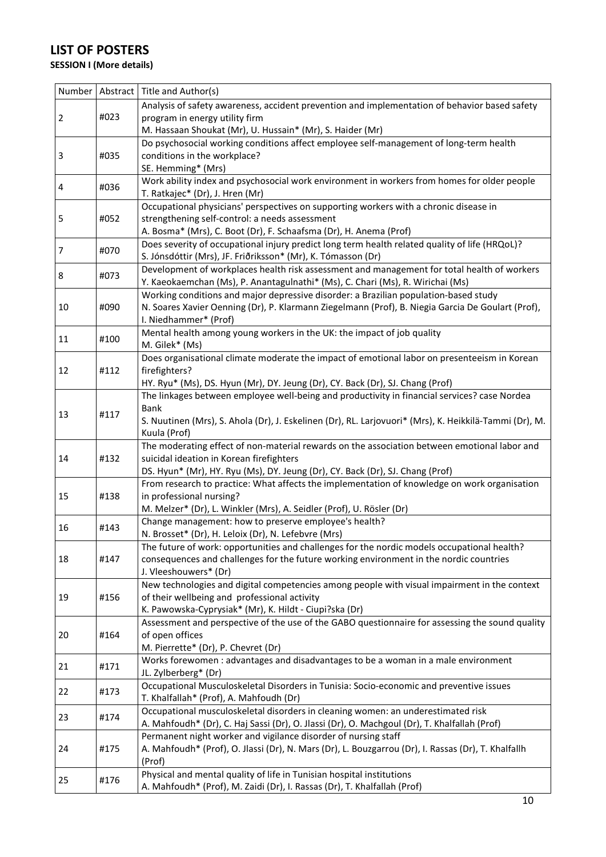### **LIST OF POSTERS**

### **SESSION I (More details)**

| Number         |      | Abstract   Title and Author(s)                                                                                                                     |
|----------------|------|----------------------------------------------------------------------------------------------------------------------------------------------------|
|                |      | Analysis of safety awareness, accident prevention and implementation of behavior based safety                                                      |
| $\overline{2}$ | #023 | program in energy utility firm                                                                                                                     |
|                |      | M. Hassaan Shoukat (Mr), U. Hussain* (Mr), S. Haider (Mr)                                                                                          |
|                |      | Do psychosocial working conditions affect employee self-management of long-term health                                                             |
| 3              | #035 | conditions in the workplace?                                                                                                                       |
|                |      | SE. Hemming* (Mrs)                                                                                                                                 |
| 4              | #036 | Work ability index and psychosocial work environment in workers from homes for older people                                                        |
|                |      | T. Ratkajec* (Dr), J. Hren (Mr)                                                                                                                    |
|                |      | Occupational physicians' perspectives on supporting workers with a chronic disease in                                                              |
| 5              | #052 | strengthening self-control: a needs assessment                                                                                                     |
|                |      | A. Bosma* (Mrs), C. Boot (Dr), F. Schaafsma (Dr), H. Anema (Prof)                                                                                  |
| $\overline{7}$ | #070 | Does severity of occupational injury predict long term health related quality of life (HRQoL)?                                                     |
|                |      | S. Jónsdóttir (Mrs), JF. Friðriksson* (Mr), K. Tómasson (Dr)                                                                                       |
| 8              | #073 | Development of workplaces health risk assessment and management for total health of workers                                                        |
|                |      | Y. Kaeokaemchan (Ms), P. Anantagulnathi* (Ms), C. Chari (Ms), R. Wirichai (Ms)                                                                     |
|                |      | Working conditions and major depressive disorder: a Brazilian population-based study                                                               |
| 10             | #090 | N. Soares Xavier Oenning (Dr), P. Klarmann Ziegelmann (Prof), B. Niegia Garcia De Goulart (Prof),<br>I. Niedhammer* (Prof)                         |
|                |      | Mental health among young workers in the UK: the impact of job quality                                                                             |
| 11             | #100 | M. Gilek* (Ms)                                                                                                                                     |
|                |      | Does organisational climate moderate the impact of emotional labor on presenteeism in Korean                                                       |
| 12             | #112 | firefighters?                                                                                                                                      |
|                |      | HY. Ryu* (Ms), DS. Hyun (Mr), DY. Jeung (Dr), CY. Back (Dr), SJ. Chang (Prof)                                                                      |
|                |      | The linkages between employee well-being and productivity in financial services? case Nordea                                                       |
|                |      | <b>Bank</b>                                                                                                                                        |
| 13             | #117 | S. Nuutinen (Mrs), S. Ahola (Dr), J. Eskelinen (Dr), RL. Larjovuori* (Mrs), K. Heikkilä-Tammi (Dr), M.                                             |
|                |      | Kuula (Prof)                                                                                                                                       |
|                |      | The moderating effect of non-material rewards on the association between emotional labor and                                                       |
| 14             | #132 | suicidal ideation in Korean firefighters                                                                                                           |
|                |      | DS. Hyun* (Mr), HY. Ryu (Ms), DY. Jeung (Dr), CY. Back (Dr), SJ. Chang (Prof)                                                                      |
|                |      | From research to practice: What affects the implementation of knowledge on work organisation                                                       |
| 15             | #138 | in professional nursing?                                                                                                                           |
|                |      | M. Melzer* (Dr), L. Winkler (Mrs), A. Seidler (Prof), U. Rösler (Dr)                                                                               |
| 16             | #143 | Change management: how to preserve employee's health?                                                                                              |
|                |      | N. Brosset* (Dr), H. Leloix (Dr), N. Lefebvre (Mrs)<br>The future of work: opportunities and challenges for the nordic models occupational health? |
| 18             | #147 | consequences and challenges for the future working environment in the nordic countries                                                             |
|                |      | J. Vleeshouwers* (Dr)                                                                                                                              |
|                |      | New technologies and digital competencies among people with visual impairment in the context                                                       |
| 19             | #156 | of their wellbeing and professional activity                                                                                                       |
|                |      | K. Pawowska-Cyprysiak* (Mr), K. Hildt - Ciupi?ska (Dr)                                                                                             |
|                |      | Assessment and perspective of the use of the GABO questionnaire for assessing the sound quality                                                    |
| 20             | #164 | of open offices                                                                                                                                    |
|                |      | M. Pierrette* (Dr), P. Chevret (Dr)                                                                                                                |
|                | #171 | Works forewomen : advantages and disadvantages to be a woman in a male environment                                                                 |
| 21             |      | JL. Zylberberg* (Dr)                                                                                                                               |
| 22             | #173 | Occupational Musculoskeletal Disorders in Tunisia: Socio-economic and preventive issues                                                            |
|                |      | T. Khalfallah* (Prof), A. Mahfoudh (Dr)                                                                                                            |
| 23             | #174 | Occupational musculoskeletal disorders in cleaning women: an underestimated risk                                                                   |
|                |      | A. Mahfoudh* (Dr), C. Haj Sassi (Dr), O. Jlassi (Dr), O. Machgoul (Dr), T. Khalfallah (Prof)                                                       |
|                |      | Permanent night worker and vigilance disorder of nursing staff                                                                                     |
| 24             | #175 | A. Mahfoudh* (Prof), O. Jlassi (Dr), N. Mars (Dr), L. Bouzgarrou (Dr), I. Rassas (Dr), T. Khalfallh                                                |
|                |      | (Prof)                                                                                                                                             |
| 25             | #176 | Physical and mental quality of life in Tunisian hospital institutions                                                                              |
|                |      | A. Mahfoudh* (Prof), M. Zaidi (Dr), I. Rassas (Dr), T. Khalfallah (Prof)                                                                           |